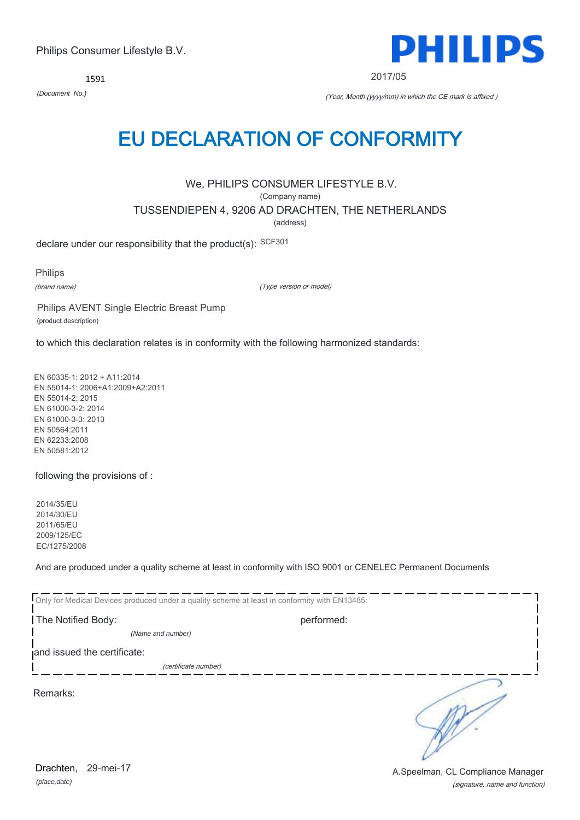1591



2017/05

*(Document No.)* (Year, Month (yyyy/mm) in which the CE mark is affixed )

# EU DECLARATION OF CONFORMITY

We, PHILIPS CONSUMER LIFESTYLE B.V.

(Company name)

TUSSENDIEPEN 4, 9206 AD DRACHTEN, THE NETHERLANDS

(address)

declare under our responsibility that the product(s): SCF301

Philips

(brand name)

(Type version or model)

Philips AVENT Single Electric Breast Pump (product description)

to which this declaration relates is in conformity with the following harmonized standards:

EN 60335-1: 2012 + A11:2014 EN 55014-1: 2006+A1:2009+A2:2011 EN 55014-2: 2015 EN 61000-3-2: 2014 EN 61000-3-3: 2013 EN 50564:2011 EN 62233:2008 EN 50581:2012

following the provisions of :

2014/35/EU 2014/30/EU 2011/65/EU 2009/125/EC EC/1275/2008

And are produced under a quality scheme at least in conformity with ISO 9001 or CENELEC Permanent Documents

| Only for Medical Devices produced under a quality scheme at least in conformity with EN13485: |            |  |
|-----------------------------------------------------------------------------------------------|------------|--|
| The Notified Body:                                                                            | performed: |  |
| (Name and number)                                                                             |            |  |
| and issued the certificate:                                                                   |            |  |
| (certificate number)                                                                          |            |  |
| Remarks:                                                                                      |            |  |

*(place,date)* Drachten, 29-mei-17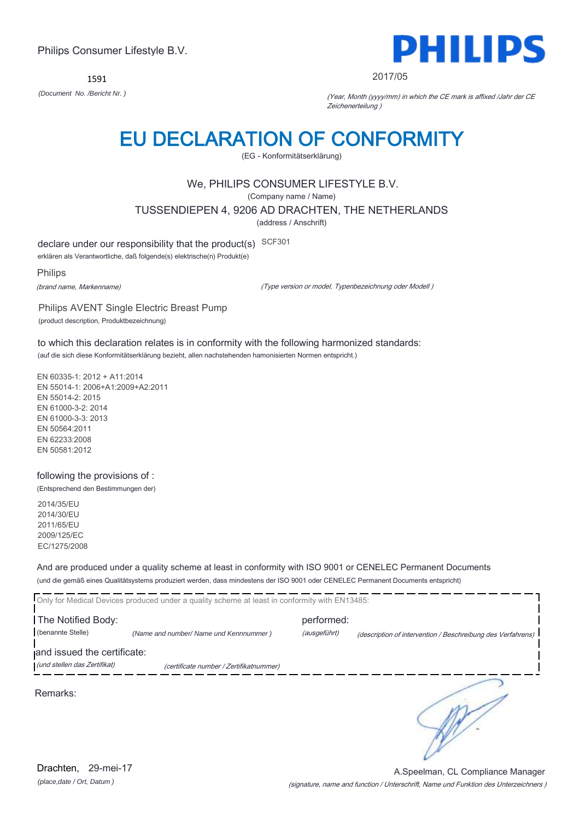1591



#### 2017/05

*(Document No. /Bericht Nr. )* (Year, Month (yyyy/mm) in which the CE mark is affixed /Jahr der CE Zeichenerteilung )

# EU DECLARATION OF CONFORMITY

(EG - Konformitätserklärung)

# We, PHILIPS CONSUMER LIFESTYLE B.V.

(Company name / Name)

TUSSENDIEPEN 4, 9206 AD DRACHTEN, THE NETHERLANDS

(address / Anschrift)

declare under our responsibility that the product(s) SCF301

erklären als Verantwortliche, daß folgende(s) elektrische(n) Produkt(e)

Philips

(brand name, Markenname)

(Type version or model, Typenbezeichnung oder Modell )

Philips AVENT Single Electric Breast Pump (product description, Produktbezeichnung)

to which this declaration relates is in conformity with the following harmonized standards: (auf die sich diese Konformitätserklärung bezieht, allen nachstehenden hamonisierten Normen entspricht.)

EN 60335-1: 2012 + A11:2014 EN 55014-1: 2006+A1:2009+A2:2011 EN 55014-2: 2015 EN 61000-3-2: 2014 EN 61000-3-3: 2013 EN 50564:2011 EN 62233:2008 EN 50581:2012

#### following the provisions of : (Entsprechend den Bestimmungen der)

2014/35/EU 2014/30/EU 2011/65/EU 2009/125/EC

EC/1275/2008

And are produced under a quality scheme at least in conformity with ISO 9001 or CENELEC Permanent Documents (und die gemäß eines Qualitätsystems produziert werden, dass mindestens der ISO 9001 oder CENELEC Permanent Documents entspricht)

|                                                             | Only for Medical Devices produced under a quality scheme at least in conformity with EN13485: |                            |                                                             |
|-------------------------------------------------------------|-----------------------------------------------------------------------------------------------|----------------------------|-------------------------------------------------------------|
| The Notified Body:<br>(benannte Stelle)                     | (Name and number/ Name und Kennnummer)                                                        | performed:<br>(ausgeführt) | (description of intervention / Beschreibung des Verfahrens) |
| and issued the certificate:<br>(und stellen das Zertifikat) | (certificate number / Zertifikatnummer)                                                       |                            |                                                             |
| Remarks:                                                    |                                                                                               |                            |                                                             |

*(place,date / Ort, Datum )* Drachten, 29-mei-17

(signature, name and function / Unterschrift, Name und Funktion des Unterzeichners ) A.Speelman, CL Compliance Manager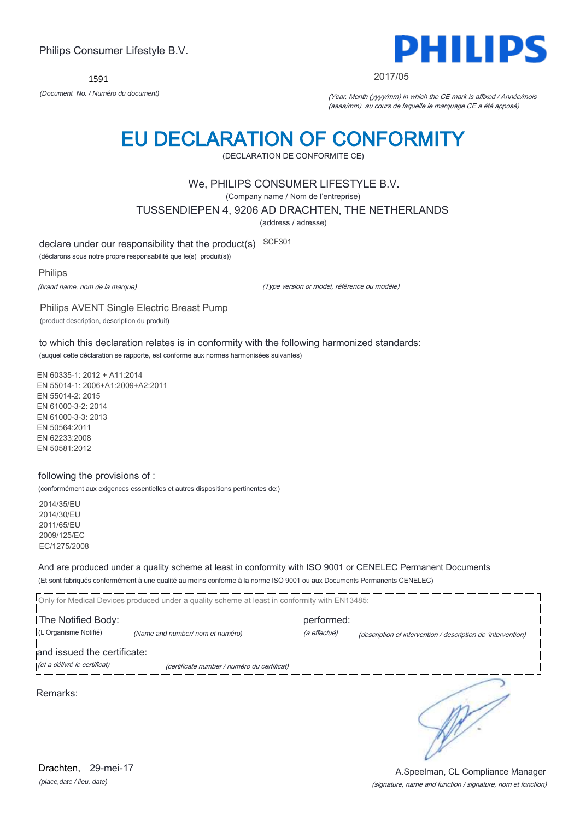1591



2017/05

*(Document No. / Numéro du document)* (Year, Month (yyyy/mm) in which the CE mark is affixed / Année/mois (aaaa/mm) au cours de laquelle le marquage CE a été apposé)

# EU DECLARATION OF CONFORMITY

(DECLARATION DE CONFORMITE CE)

### We, PHILIPS CONSUMER LIFESTYLE B.V.

(Company name / Nom de l'entreprise)

TUSSENDIEPEN 4, 9206 AD DRACHTEN, THE NETHERLANDS

(address / adresse)

declare under our responsibility that the product(s) SCF301

(déclarons sous notre propre responsabilité que le(s) produit(s))

Philips

(brand name, nom de la marque)

(Type version or model, référence ou modèle)

Philips AVENT Single Electric Breast Pump (product description, description du produit)

to which this declaration relates is in conformity with the following harmonized standards: (auquel cette déclaration se rapporte, est conforme aux normes harmonisées suivantes)

EN 60335-1: 2012 + A11:2014 EN 55014-1: 2006+A1:2009+A2:2011 EN 55014-2: 2015 EN 61000-3-2: 2014 EN 61000-3-3: 2013 EN 50564:2011 EN 62233:2008 EN 50581:2012

#### following the provisions of :

(conformément aux exigences essentielles et autres dispositions pertinentes de:)

2014/35/EU 2014/30/EU 2011/65/EU 2009/125/EC EC/1275/2008

And are produced under a quality scheme at least in conformity with ISO 9001 or CENELEC Permanent Documents (Et sont fabriqués conformément à une qualité au moins conforme à la norme ISO 9001 ou aux Documents Permanents CENELEC)

|                              | <b>I</b> Only for Medical Devices produced under a quality scheme at least in conformity with EN13485: |              |                                                              |
|------------------------------|--------------------------------------------------------------------------------------------------------|--------------|--------------------------------------------------------------|
| The Notified Body:           |                                                                                                        | performed:   |                                                              |
| (L'Organisme Notifié)        | (Name and number/nom et numéro)                                                                        | (a effectué) | (description of intervention / description de 'intervention) |
| and issued the certificate:  |                                                                                                        |              |                                                              |
| (et a délivré le certificat) | (certificate number / numéro du certificat)                                                            |              |                                                              |
| Remarks:                     |                                                                                                        |              |                                                              |

*(place,date / lieu, date)* Drachten. 29-mei-17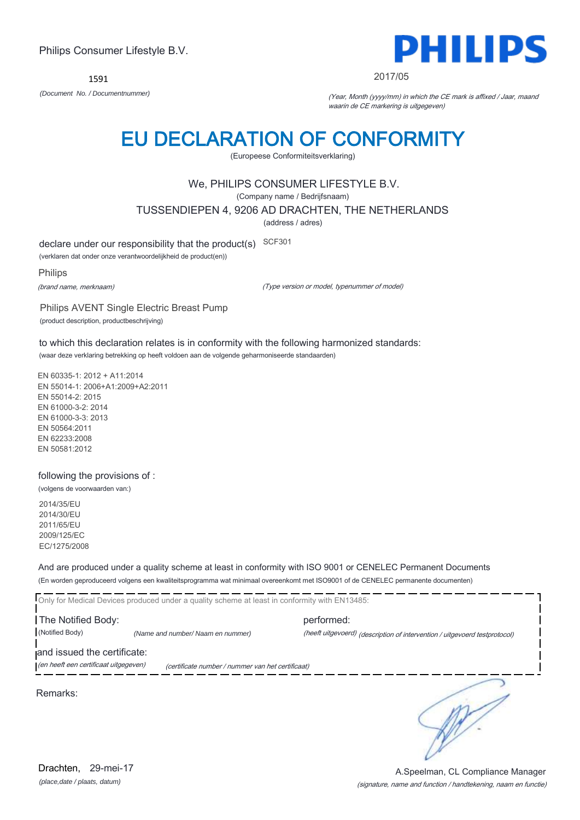1591



#### 2017/05

*(Document No. / Documentnummer)* (Year, Month (yyyy/mm) in which the CE mark is affixed / Jaar, maand waarin de CE markering is uitgegeven)

# EU DECLARATION OF CONFORMITY

(Europeese Conformiteitsverklaring)

### We, PHILIPS CONSUMER LIFESTYLE B.V.

(Company name / Bedrijfsnaam)

TUSSENDIEPEN 4, 9206 AD DRACHTEN, THE NETHERLANDS

(address / adres)

declare under our responsibility that the product(s) SCF301

(verklaren dat onder onze verantwoordelijkheid de product(en))

Philips

(brand name, merknaam)

(Type version or model, typenummer of model)

Philips AVENT Single Electric Breast Pump (product description, productbeschrijving)

to which this declaration relates is in conformity with the following harmonized standards: (waar deze verklaring betrekking op heeft voldoen aan de volgende geharmoniseerde standaarden)

EN 60335-1: 2012 + A11:2014 EN 55014-1: 2006+A1:2009+A2:2011 EN 55014-2: 2015 EN 61000-3-2: 2014 EN 61000-3-3: 2013 EN 50564:2011 EN 62233:2008 EN 50581:2012

#### following the provisions of :

(volgens de voorwaarden van:)

2014/35/EU 2014/30/EU 2011/65/EU 2009/125/EC EC/1275/2008

And are produced under a quality scheme at least in conformity with ISO 9001 or CENELEC Permanent Documents (En worden geproduceerd volgens een kwaliteitsprogramma wat minimaal overeenkomt met ISO9001 of de CENELEC permanente documenten)

|                                       | Only for Medical Devices produced under a quality scheme at least in conformity with EN13485: |                                                                            |
|---------------------------------------|-----------------------------------------------------------------------------------------------|----------------------------------------------------------------------------|
| The Notified Body:                    |                                                                                               | performed:                                                                 |
| (Notified Body)                       | (Name and number/ Naam en nummer)                                                             | (heeft uitgevoerd) (description of intervention / uitgevoerd testprotocol) |
| and issued the certificate:           |                                                                                               |                                                                            |
| (en heeft een certificaat uitgegeven) | (certificate number / nummer van het certificaat)                                             |                                                                            |
| Remarks:                              |                                                                                               |                                                                            |

*(place,date / plaats, datum)* Drachten, 29-mei-17

#### (signature, name and function / handtekening, naam en functie) A.Speelman, CL Compliance Manager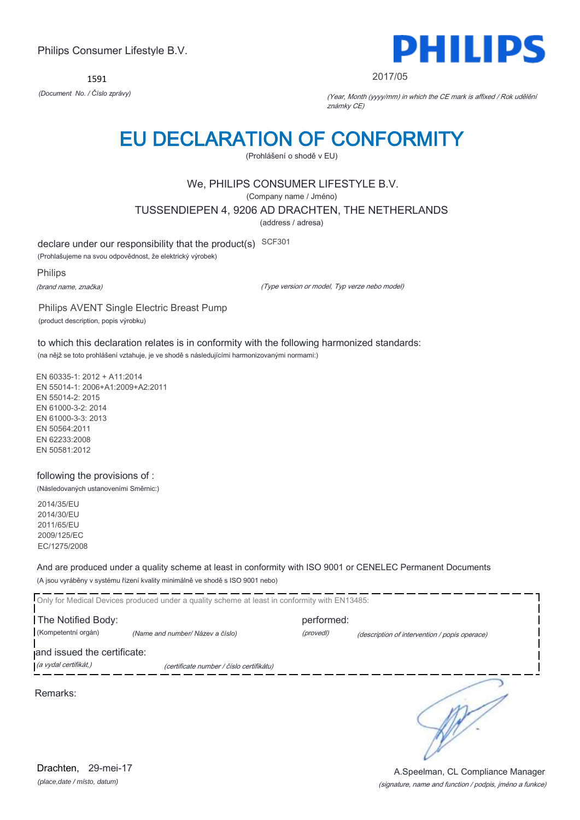1591



#### 2017/05

*(Document No. / Číslo zprávy)* (Year, Month (yyyy/mm) in which the CE mark is affixed / Rok udělění známky CE)

# EU DECLARATION OF CONFORMITY

(Prohlášení o shodě v EU)

# We, PHILIPS CONSUMER LIFESTYLE B.V.

(Company name / Jméno)

TUSSENDIEPEN 4, 9206 AD DRACHTEN, THE NETHERLANDS

(address / adresa)

declare under our responsibility that the product(s) SCF301

(Prohlašujeme na svou odpovědnost, že elektrický výrobek)

Philips

(brand name, značka)

(Type version or model, Typ verze nebo model)

Philips AVENT Single Electric Breast Pump (product description, popis výrobku)

to which this declaration relates is in conformity with the following harmonized standards: (na nějž se toto prohlášení vztahuje, je ve shodě s následujícími harmonizovanými normami:)

EN 60335-1: 2012 + A11:2014 EN 55014-1: 2006+A1:2009+A2:2011 EN 55014-2: 2015 EN 61000-3-2: 2014 EN 61000-3-3: 2013 EN 50564:2011 EN 62233:2008 EN 50581:2012

### following the provisions of :

(Následovaných ustanoveními Směrnic:)

2014/35/EU 2014/30/EU 2011/65/EU 2009/125/EC EC/1275/2008

And are produced under a quality scheme at least in conformity with ISO 9001 or CENELEC Permanent Documents (A jsou vyráběny v systému řízení kvality minimálně ve shodě s ISO 9001 nebo)

|                                                      | Only for Medical Devices produced under a quality scheme at least in conformity with EN13485: |            |                                               |
|------------------------------------------------------|-----------------------------------------------------------------------------------------------|------------|-----------------------------------------------|
| The Notified Body:                                   |                                                                                               | performed: |                                               |
| (Kompetentní orgán)                                  | (Name and number/ Název a číslo)                                                              | (provedl)  | (description of intervention / popis operace) |
| and issued the certificate:<br>(a vydal certifikát,) |                                                                                               |            |                                               |
|                                                      | (certificate number / číslo certifikátu)                                                      |            |                                               |
| Remarks:                                             |                                                                                               |            |                                               |
|                                                      |                                                                                               |            |                                               |

(signature, name and function / podpis, jméno a funkce) A.Speelman, CL Compliance Manager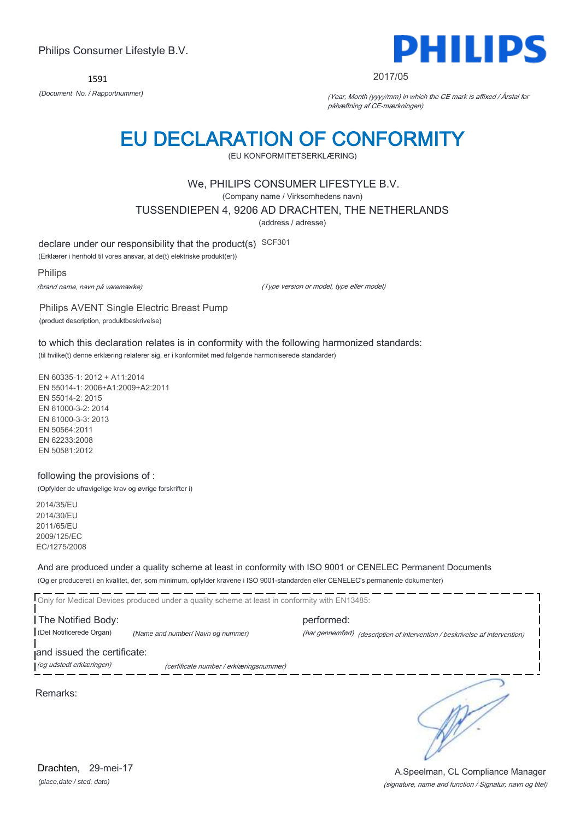1591



#### 2017/05

*(Document No. / Rapportnummer)* (Year, Month (yyyy/mm) in which the CE mark is affixed / Årstal for påhæftning af CE-mærkningen)

# EU DECLARATION OF CONFORMITY

(EU KONFORMITETSERKLÆRING)

### We, PHILIPS CONSUMER LIFESTYLE B.V.

(Company name / Virksomhedens navn)

TUSSENDIEPEN 4, 9206 AD DRACHTEN, THE NETHERLANDS

(address / adresse)

declare under our responsibility that the product(s) SCF301

(Erklærer i henhold til vores ansvar, at de(t) elektriske produkt(er))

Philips

(brand name, navn på varemærke)

(Type version or model, type eller model)

Philips AVENT Single Electric Breast Pump (product description, produktbeskrivelse)

to which this declaration relates is in conformity with the following harmonized standards: (til hvilke(t) denne erklæring relaterer sig, er i konformitet med følgende harmoniserede standarder)

EN 60335-1: 2012 + A11:2014 EN 55014-1: 2006+A1:2009+A2:2011 EN 55014-2: 2015 EN 61000-3-2: 2014 EN 61000-3-3: 2013 EN 50564:2011 EN 62233:2008 EN 50581:2012

#### following the provisions of :

(Opfylder de ufravigelige krav og øvrige forskrifter i)

2014/35/EU 2014/30/EU 2011/65/EU 2009/125/EC EC/1275/2008

And are produced under a quality scheme at least in conformity with ISO 9001 or CENELEC Permanent Documents (Og er produceret i en kvalitet, der, som minimum, opfylder kravene i ISO 9001-standarden eller CENELEC's permanente dokumenter)

Only for Medical Devices produced under a quality scheme at least in conformity with EN13485: The Notified Body: example and the performed: (Det Notificerede Organ) *(Name and number/ Navn og nummer)* (har gennemført) (description of intervention / beskrivelse af intervention) and issued the certificate: (og udstedt erklæringen) (certificate number / erklæringsnummer)

Remarks:

∍

*(place,date / sted, dato)* Drachten, 29-mei-17

#### (signature, name and function / Signatur, navn og titel) A.Speelman, CL Compliance Manager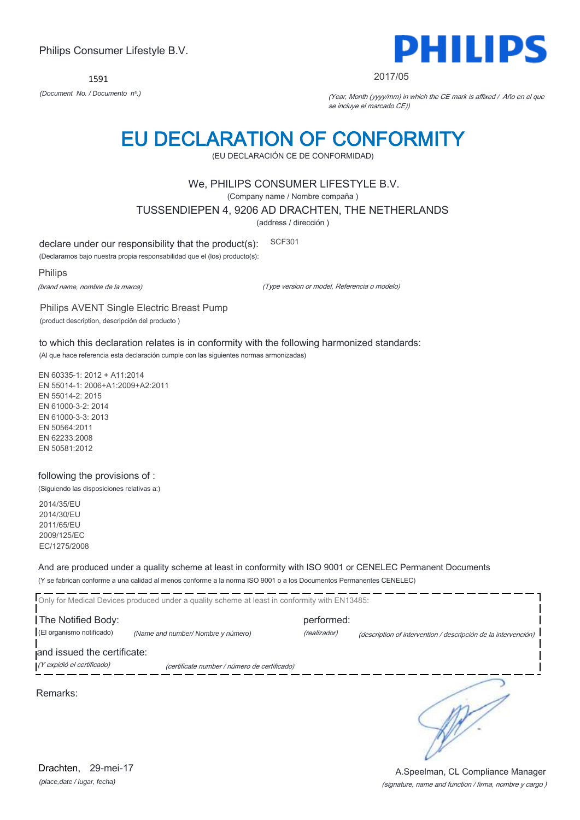1591



#### 2017/05

*(Document No. / Documento nº.)* (Year, Month (yyyy/mm) in which the CE mark is affixed / Año en el que se incluye el marcado CE))

# EU DECLARATION OF CONFORMITY

(EU DECLARACIÓN CE DE CONFORMIDAD)

### We, PHILIPS CONSUMER LIFESTYLE B.V.

(Company name / Nombre compaña )

TUSSENDIEPEN 4, 9206 AD DRACHTEN, THE NETHERLANDS

(address / dirección )

declare under our responsibility that the product(s): SCF301

(Declaramos bajo nuestra propia responsabilidad que el (los) producto(s):

Philips

(brand name, nombre de la marca)

(Type version or model, Referencia o modelo)

Philips AVENT Single Electric Breast Pump (product description, descripción del producto )

to which this declaration relates is in conformity with the following harmonized standards: (Al que hace referencia esta declaración cumple con las siguientes normas armonizadas)

EN 60335-1: 2012 + A11:2014 EN 55014-1: 2006+A1:2009+A2:2011 EN 55014-2: 2015 EN 61000-3-2: 2014 EN 61000-3-3: 2013 EN 50564:2011 EN 62233:2008 EN 50581:2012

#### following the provisions of :

(Siguiendo las disposiciones relativas a:)

2014/35/EU 2014/30/EU 2011/65/EU 2009/125/EC EC/1275/2008

And are produced under a quality scheme at least in conformity with ISO 9001 or CENELEC Permanent Documents (Y se fabrican conforme a una calidad al menos conforme a la norma ISO 9001 o a los Documentos Permanentes CENELEC)

|                             | Only for Medical Devices produced under a quality scheme at least in conformity with EN13485: |              |                                                                |
|-----------------------------|-----------------------------------------------------------------------------------------------|--------------|----------------------------------------------------------------|
| The Notified Body:          |                                                                                               | performed:   |                                                                |
| (El organismo notificado)   | (Name and number/ Nombre y número)                                                            | (realizador) | (description of intervention / descripción de la intervención) |
| and issued the certificate: |                                                                                               |              |                                                                |
| (Y expidió el certificado)  | (certificate number / número de certificado)                                                  |              |                                                                |
| Remarks:                    |                                                                                               |              |                                                                |

*(place,date / lugar, fecha)* Drachten, 29-mei-17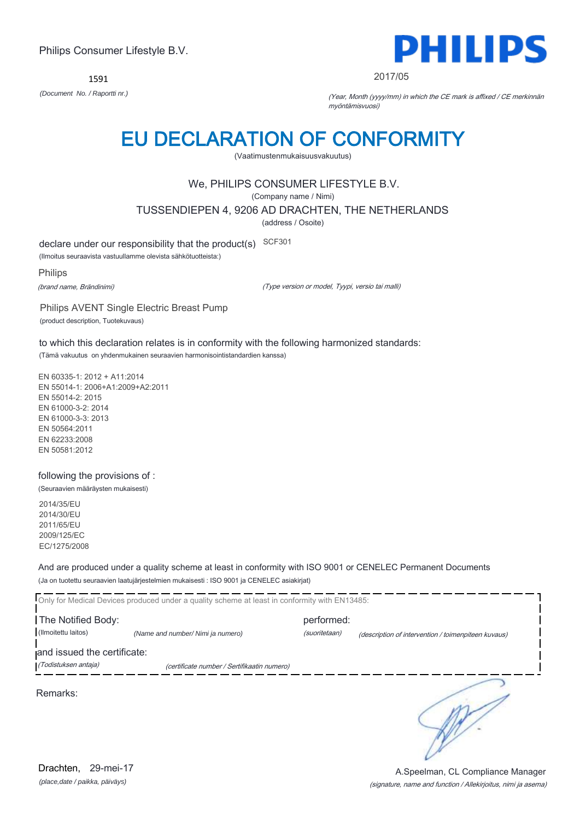1591



2017/05

*(Document No. / Raportti nr.)* (Year, Month (yyyy/mm) in which the CE mark is affixed / CE merkinnän myöntämisvuosi)

# EU DECLARATION OF CONFORMITY

(Vaatimustenmukaisuusvakuutus)

# We, PHILIPS CONSUMER LIFESTYLE B.V.

(Company name / Nimi)

TUSSENDIEPEN 4, 9206 AD DRACHTEN, THE NETHERLANDS

(address / Osoite)

declare under our responsibility that the product(s) SCF301

(Ilmoitus seuraavista vastuullamme olevista sähkötuotteista:)

Philips

(brand name, Brändinimi)

(Type version or model, Tyypi, versio tai malli)

Philips AVENT Single Electric Breast Pump (product description, Tuotekuvaus)

to which this declaration relates is in conformity with the following harmonized standards: (Tämä vakuutus on yhdenmukainen seuraavien harmonisointistandardien kanssa)

EN 60335-1: 2012 + A11:2014 EN 55014-1: 2006+A1:2009+A2:2011 EN 55014-2: 2015 EN 61000-3-2: 2014 EN 61000-3-3: 2013 EN 50564:2011 EN 62233:2008 EN 50581:2012

### following the provisions of :

(Seuraavien määräysten mukaisesti)

2014/35/EU 2014/30/EU 2011/65/EU 2009/125/EC EC/1275/2008

And are produced under a quality scheme at least in conformity with ISO 9001 or CENELEC Permanent Documents (Ja on tuotettu seuraavien laatujärjestelmien mukaisesti : ISO 9001 ja CENELEC asiakirjat)

|                                                     | Only for Medical Devices produced under a quality scheme at least in conformity with EN13485: |                             |                                                     |
|-----------------------------------------------------|-----------------------------------------------------------------------------------------------|-----------------------------|-----------------------------------------------------|
| The Notified Body:<br>(Ilmoitettu laitos)           | (Name and number/ Nimi ja numero)                                                             | performed:<br>(suoritetaan) | (description of intervention / toimenpiteen kuvaus) |
| and issued the certificate:<br>(Todistuksen antaja) | (certificate number / Sertifikaatin numero)                                                   |                             |                                                     |
| Remarks:                                            |                                                                                               |                             |                                                     |

*(place,date / paikka, päiväys)* Drachten, 29-mei-17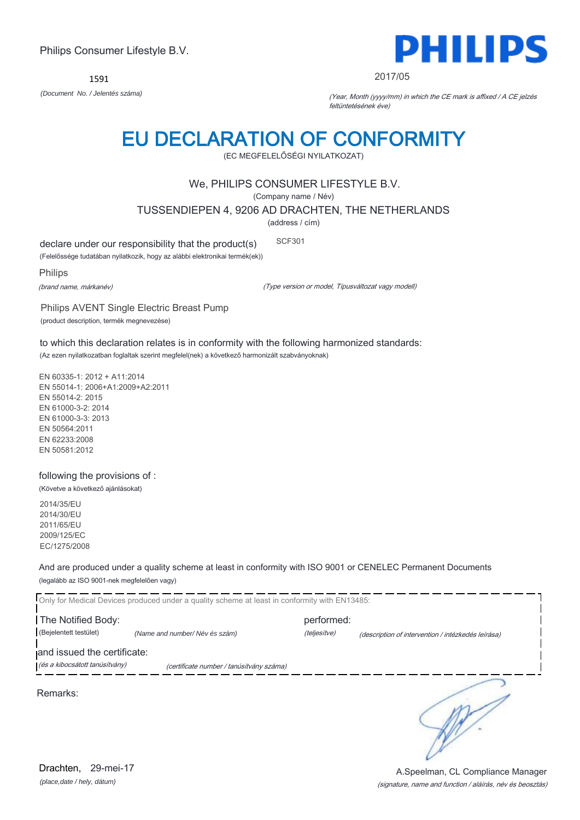1591



#### 2017/05

*(Document No. / Jelentés száma)* (Year, Month (yyyy/mm) in which the CE mark is affixed / A CE jelzés feltüntetésének éve)

# EU DECLARATION OF CONFORMITY

(EC MEGFELELŐSÉGI NYILATKOZAT)

### We, PHILIPS CONSUMER LIFESTYLE B.V.

(Company name / Név)

TUSSENDIEPEN 4, 9206 AD DRACHTEN, THE NETHERLANDS

(address / cím)

declare under our responsibility that the product(s) SCF301

(Felelőssége tudatában nyilatkozik, hogy az alábbi elektronikai termék(ek))

Philips

(brand name, márkanév)

(Type version or model, Típusváltozat vagy modell)

Philips AVENT Single Electric Breast Pump (product description, termék megnevezése)

to which this declaration relates is in conformity with the following harmonized standards: (Az ezen nyilatkozatban foglaltak szerint megfelel(nek) a következő harmonizált szabványoknak)

EN 60335-1: 2012 + A11:2014 EN 55014-1: 2006+A1:2009+A2:2011 EN 55014-2: 2015 EN 61000-3-2: 2014 EN 61000-3-3: 2013 EN 50564:2011 EN 62233:2008 EN 50581:2012

following the provisions of : (Követve a következő ajánlásokat)

2014/35/EU 2014/30/EU 2011/65/EU 2009/125/EC EC/1275/2008

And are produced under a quality scheme at least in conformity with ISO 9001 or CENELEC Permanent Documents (legalább az ISO 9001-nek megfelelően vagy)

|                                | Only for Medical Devices produced under a quality scheme at least in conformity with EN13485: |              |                                                    |
|--------------------------------|-----------------------------------------------------------------------------------------------|--------------|----------------------------------------------------|
| The Notified Body:             |                                                                                               | performed:   |                                                    |
| (Bejelentett testület)         | (Name and number/Név és szám)                                                                 | (teljesítve) | (description of intervention / intézkedés leírása) |
| and issued the certificate:    |                                                                                               |              |                                                    |
| (és a kibocsátott tanúsítvány) | (certificate number / tanúsítvány száma)                                                      |              |                                                    |
| Remarks:                       |                                                                                               |              |                                                    |

(signature, name and function / aláírás, név és beosztás) A.Speelman, CL Compliance Manager

*(place,date / hely, dátum)* Drachten, 29-mei-17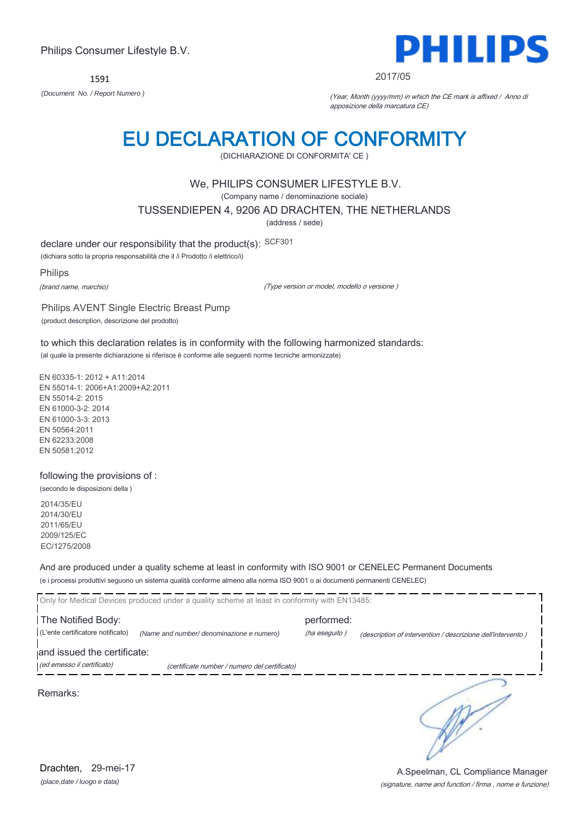1591



#### 2017/05

*(Document No. / Report Numero )* (Year, Month (yyyy/mm) in which the CE mark is affixed / Anno di apposizione della marcatura CE)

# EU DECLARATION OF CONFORMITY

(DICHIARAZIONE DI CONFORMITA' CE )

### We, PHILIPS CONSUMER LIFESTYLE B.V.

(Company name / denominazione sociale)

TUSSENDIEPEN 4, 9206 AD DRACHTEN, THE NETHERLANDS

(address / sede)

declare under our responsibility that the product(s): SCF301

(dichiara sotto la propria responsabilità che il /i Prodotto /i elettrico/i)

Philips

(brand name, marchio)

(Type version or model, modello o versione )

Philips AVENT Single Electric Breast Pump (product description, descrizione del prodotto)

to which this declaration relates is in conformity with the following harmonized standards: (al quale la presente dichiarazione si riferisce è conforme alle seguenti norme tecniche armonizzate)

EN 60335-1: 2012 + A11:2014 EN 55014-1: 2006+A1:2009+A2:2011 EN 55014-2: 2015 EN 61000-3-2: 2014 EN 61000-3-3: 2013 EN 50564:2011 EN 62233:2008 EN 50581:2012

### following the provisions of :

(secondo le disposizioni della )

2014/35/EU 2014/30/EU 2011/65/EU 2009/125/EC EC/1275/2008

And are produced under a quality scheme at least in conformity with ISO 9001 or CENELEC Permanent Documents (e i processi produttivi seguono un sistema qualità conforme almeno alla norma ISO 9001 o ai documenti permanenti CENELEC)

|                                                           | Only for Medical Devices produced under a quality scheme at least in conformity with EN13485: |                             |                                                             |
|-----------------------------------------------------------|-----------------------------------------------------------------------------------------------|-----------------------------|-------------------------------------------------------------|
| The Notified Body:<br>(L'ente certificatore notificato)   | (Name and number/ denominazione e numero)                                                     | performed:<br>(ha eseguito) | (description of intervention / descrizione dell'intervento) |
| and issued the certificate:<br>(ed emesso il certificato) | (certificate number / numero del certificato)                                                 |                             |                                                             |
| Remarks:                                                  |                                                                                               |                             |                                                             |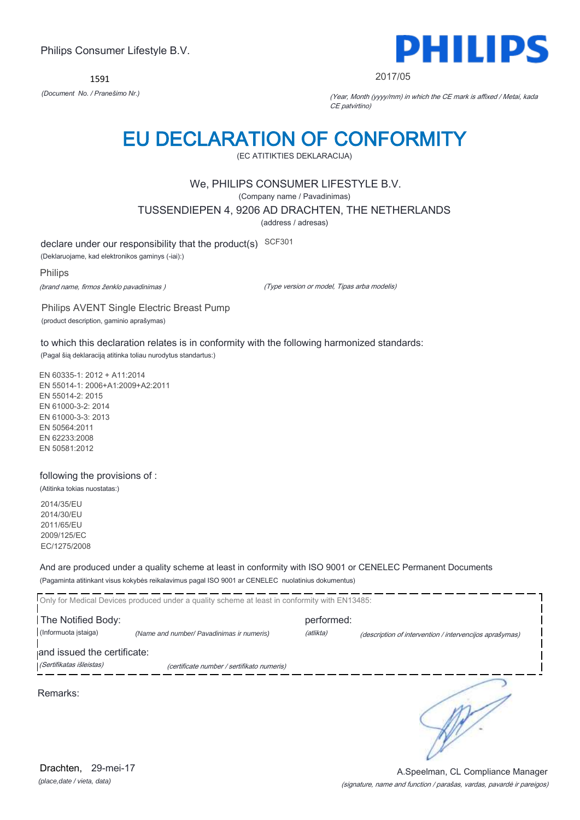1591



2017/05

*(Document No. / Pranešimo Nr.)* (Year, Month (yyyy/mm) in which the CE mark is affixed / Metai, kada CE patvirtino)

# EU DECLARATION OF CONFORMITY

(EC ATITIKTIES DEKLARACIJA)

# We, PHILIPS CONSUMER LIFESTYLE B.V.

(Company name / Pavadinimas)

TUSSENDIEPEN 4, 9206 AD DRACHTEN, THE NETHERLANDS

(address / adresas)

declare under our responsibility that the product(s) SCF301

(Deklaruojame, kad elektronikos gaminys (-iai):)

Philips

(brand name, firmos ženklo pavadinimas )

(Type version or model, Tipas arba modelis)

Philips AVENT Single Electric Breast Pump (product description, gaminio aprašymas)

to which this declaration relates is in conformity with the following harmonized standards:

(Pagal šią deklaraciją atitinka toliau nurodytus standartus:)

EN 60335-1: 2012 + A11:2014 EN 55014-1: 2006+A1:2009+A2:2011 EN 55014-2: 2015 EN 61000-3-2: 2014 EN 61000-3-3: 2013 EN 50564:2011 EN 62233:2008 EN 50581:2012

### following the provisions of :

(Atitinka tokias nuostatas:)

2014/35/EU 2014/30/EU 2011/65/EU 2009/125/EC EC/1275/2008

And are produced under a quality scheme at least in conformity with ISO 9001 or CENELEC Permanent Documents (Pagaminta atitinkant visus kokybės reikalavimus pagal ISO 9001 ar CENELEC nuolatinius dokumentus)

|                             | Only for Medical Devices produced under a quality scheme at least in conformity with EN13485: |            |                                                         |
|-----------------------------|-----------------------------------------------------------------------------------------------|------------|---------------------------------------------------------|
| The Notified Body:          |                                                                                               | performed: |                                                         |
| (Informuota istaiga)        | (Name and number/ Pavadinimas ir numeris)                                                     | (atlikta)  | (description of intervention / intervencijos aprašymas) |
| and issued the certificate: |                                                                                               |            |                                                         |
| (Sertifikatas išleistas)    | (certificate number / sertifikato numeris)                                                    |            |                                                         |
| Remarks:                    |                                                                                               |            |                                                         |

*(place,date / vieta, data)* Drachten, 29-mei-17

#### (signature, name and function / parašas, vardas, pavardė ir pareigos) A.Speelman, CL Compliance Manager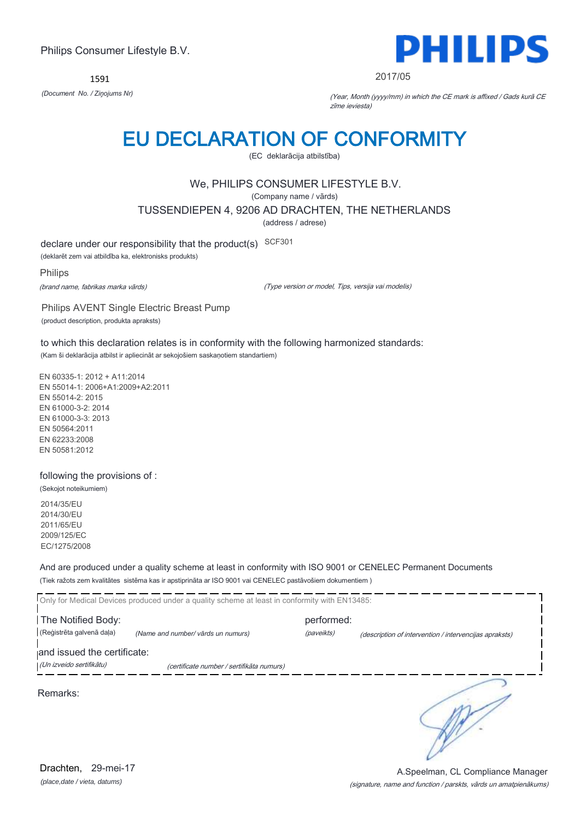1591



2017/05

*(Document No. / Ziņojums Nr)* (Year, Month (yyyy/mm) in which the CE mark is affixed / Gads kurā CE zīme ieviesta)

# EU DECLARATION OF CONFORMITY

(EC deklarācija atbilstība)

# We, PHILIPS CONSUMER LIFESTYLE B.V.

(Company name / vārds)

TUSSENDIEPEN 4, 9206 AD DRACHTEN, THE NETHERLANDS

(address / adrese)

declare under our responsibility that the product(s) SCF301

(deklarēt zem vai atbildība ka, elektronisks produkts)

Philips

(brand name, fabrikas marka vārds)

(Type version or model, Tips, versija vai modelis)

Philips AVENT Single Electric Breast Pump (product description, produkta apraksts)

to which this declaration relates is in conformity with the following harmonized standards: (Kam ši deklarācija atbilst ir apliecināt ar sekojošiem saskaņotiem standartiem)

EN 60335-1: 2012 + A11:2014 EN 55014-1: 2006+A1:2009+A2:2011 EN 55014-2: 2015 EN 61000-3-2: 2014 EN 61000-3-3: 2013 EN 50564:2011 EN 62233:2008 EN 50581:2012

#### following the provisions of :

(Sekojot noteikumiem) 2014/35/EU 2014/30/EU 2011/65/EU 2009/125/EC

EC/1275/2008

And are produced under a quality scheme at least in conformity with ISO 9001 or CENELEC Permanent Documents (Tiek ražots zem kvalitātes sistēma kas ir apstiprināta ar ISO 9001 vai CENELEC pastāvošiem dokumentiem )

|                             | Only for Medical Devices produced under a quality scheme at least in conformity with EN13485: |            |                                                        |
|-----------------------------|-----------------------------------------------------------------------------------------------|------------|--------------------------------------------------------|
| The Notified Body:          |                                                                                               | performed: |                                                        |
| (Reģistrēta galvenā daļa)   | (Name and number/ vārds un numurs)                                                            | (paveikts) | (description of intervention / intervencijas apraksts) |
| and issued the certificate: |                                                                                               |            |                                                        |
| (Un izveido sertifikātu)    | (certificate number / sertifikāta numurs)                                                     |            |                                                        |
| Remarks:                    |                                                                                               |            |                                                        |

*(place,date / vieta, datums)* Drachten, 29-mei-17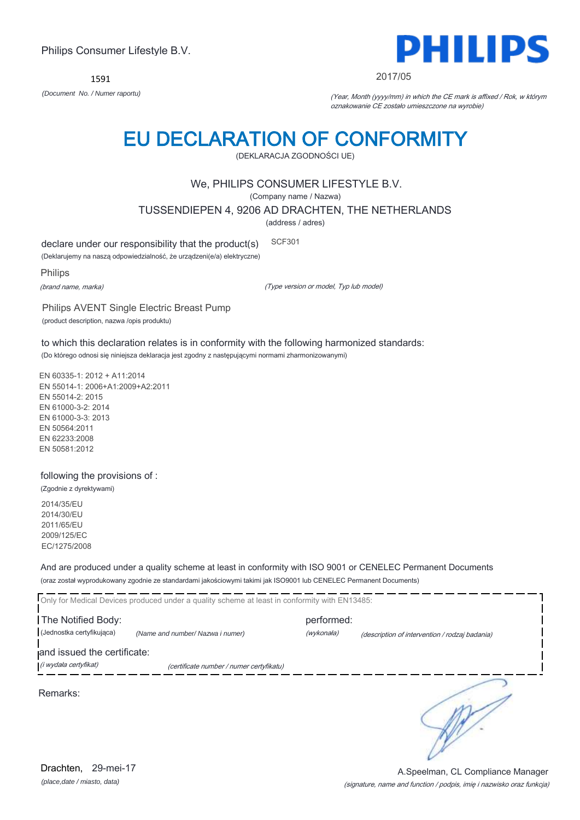1591



#### 2017/05

*(Document No. / Numer raportu)* (Year, Month (yyyy/mm) in which the CE mark is affixed / Rok, w którym oznakowanie CE zostało umieszczone na wyrobie)

# EU DECLARATION OF CONFORMITY

(DEKLARACJA ZGODNOŚCI UE)

### We, PHILIPS CONSUMER LIFESTYLE B.V.

(Company name / Nazwa)

TUSSENDIEPEN 4, 9206 AD DRACHTEN, THE NETHERLANDS

(address / adres)

declare under our responsibility that the product(s) SCF301

(Deklarujemy na naszą odpowiedzialność, że urządzeni(e/a) elektryczne)

Philips

(brand name, marka)

(Type version or model, Typ lub model)

Philips AVENT Single Electric Breast Pump (product description, nazwa /opis produktu)

to which this declaration relates is in conformity with the following harmonized standards: (Do którego odnosi się niniejsza deklaracja jest zgodny z następującymi normami zharmonizowanymi)

EN 60335-1: 2012 + A11:2014 EN 55014-1: 2006+A1:2009+A2:2011 EN 55014-2: 2015 EN 61000-3-2: 2014 EN 61000-3-3: 2013 EN 50564:2011 EN 62233:2008 EN 50581:2012

### following the provisions of :

(Zgodnie z dyrektywami) 2014/35/EU 2014/30/EU 2011/65/EU 2009/125/EC EC/1275/2008

And are produced under a quality scheme at least in conformity with ISO 9001 or CENELEC Permanent Documents (oraz został wyprodukowany zgodnie ze standardami jakościowymi takimi jak ISO9001 lub CENELEC Permanent Documents)

|                                                      | Only for Medical Devices produced under a quality scheme at least in conformity with EN13485: |                          |                                                |  |
|------------------------------------------------------|-----------------------------------------------------------------------------------------------|--------------------------|------------------------------------------------|--|
| The Notified Body:<br>(Jednostka certyfikująca)      | (Name and number/ Nazwa i numer)                                                              | performed:<br>(wykonała) | (description of intervention / rodzaj badania) |  |
| and issued the certificate:<br>(i wydała certyfikat) | (certificate number / numer certyfikatu)                                                      |                          |                                                |  |
| Remarks:                                             |                                                                                               |                          |                                                |  |

A.Speelman, CL Compliance Manager

*(place,date / miasto, data)* Drachten, 29-mei-17

# (signature, name and function / podpis, imię i nazwisko oraz funkcja)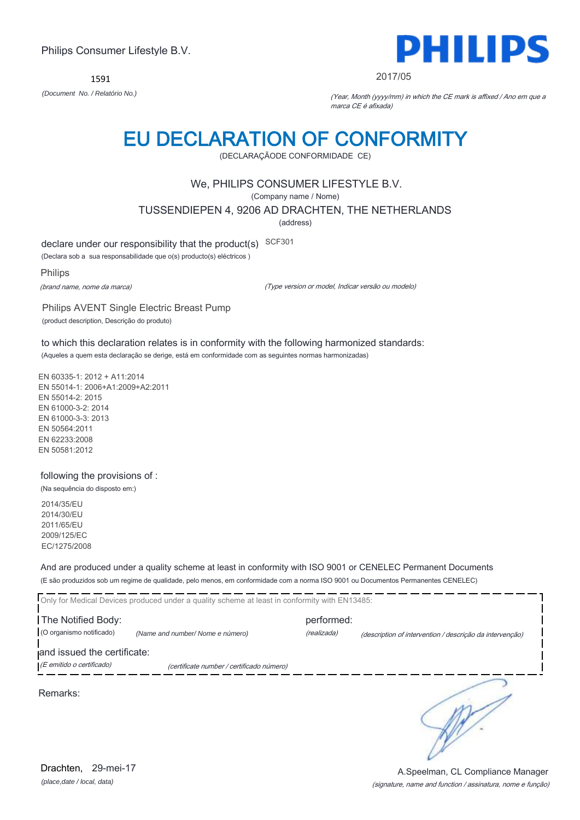1591



#### 2017/05

*(Document No. / Relatório No.)* (Year, Month (yyyy/mm) in which the CE mark is affixed / Ano em que a marca CE é afixada)

# EU DECLARATION OF CONFORMITY

(DECLARAÇÃODE CONFORMIDADE CE)

### We, PHILIPS CONSUMER LIFESTYLE B.V.

(Company name / Nome)

TUSSENDIEPEN 4, 9206 AD DRACHTEN, THE NETHERLANDS

(address)

declare under our responsibility that the product(s) SCF301

(Declara sob a sua responsabilidade que o(s) producto(s) eléctricos )

Philips

(brand name, nome da marca)

(Type version or model, Indicar versão ou modelo)

Philips AVENT Single Electric Breast Pump (product description, Descrição do produto)

to which this declaration relates is in conformity with the following harmonized standards: (Aqueles a quem esta declaração se derige, está em conformidade com as seguintes normas harmonizadas)

EN 60335-1: 2012 + A11:2014 EN 55014-1: 2006+A1:2009+A2:2011 EN 55014-2: 2015 EN 61000-3-2: 2014 EN 61000-3-3: 2013 EN 50564:2011 EN 62233:2008 EN 50581:2012

### following the provisions of :

(Na sequência do disposto em:) 2014/35/EU

2014/30/EU 2011/65/EU 2009/125/EC EC/1275/2008

And are produced under a quality scheme at least in conformity with ISO 9001 or CENELEC Permanent Documents (E são produzidos sob um regime de qualidade, pelo menos, em conformidade com a norma ISO 9001 ou Documentos Permanentes CENELEC)

| Only for Medical Devices produced under a quality scheme at least in conformity with EN13485: |                                           |                           |                                                          |  |
|-----------------------------------------------------------------------------------------------|-------------------------------------------|---------------------------|----------------------------------------------------------|--|
| The Notified Body:<br>(O organismo notificado)                                                | (Name and number/Nome e número)           | performed:<br>(realizada) | (description of intervention / descrição da intervenção) |  |
| and issued the certificate:<br>(E emitido o certificado)                                      | (certificate number / certificado número) |                           |                                                          |  |

Remarks:

*(place,date / local, data)* Drachten, 29-mei-17

#### (signature, name and function / assinatura, nome e função) A.Speelman, CL Compliance Manager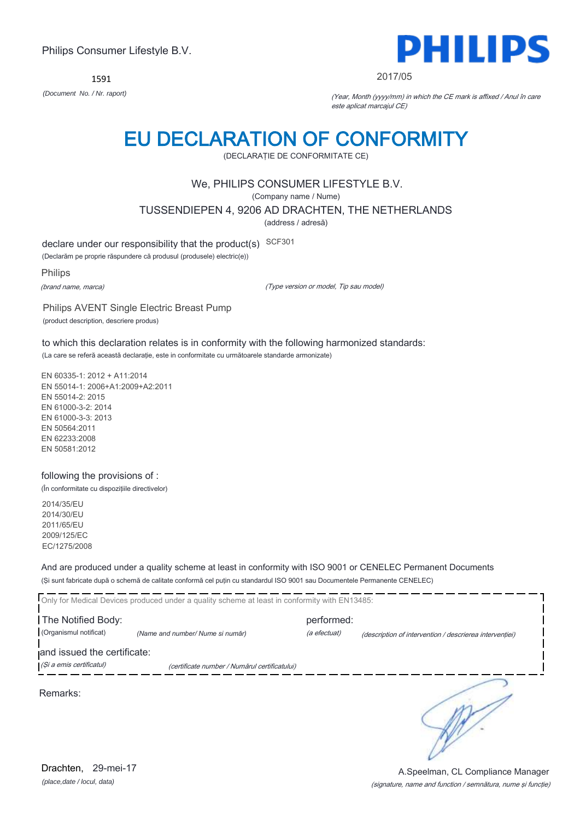1591



#### 2017/05

*(Document No. / Nr. raport)* (Year, Month (yyyy/mm) in which the CE mark is affixed / Anul în care este aplicat marcajul CE)

# EU DECLARATION OF CONFORMITY

(DECLARAŢIE DE CONFORMITATE CE)

### We, PHILIPS CONSUMER LIFESTYLE B.V.

(Company name / Nume)

TUSSENDIEPEN 4, 9206 AD DRACHTEN, THE NETHERLANDS

(address / adresă)

declare under our responsibility that the product(s) SCF301

(Declarăm pe proprie răspundere că produsul (produsele) electric(e))

Philips

(brand name, marca)

(Type version or model, Tip sau model)

Philips AVENT Single Electric Breast Pump (product description, descriere produs)

to which this declaration relates is in conformity with the following harmonized standards: (La care se referă această declaraţie, este in conformitate cu următoarele standarde armonizate)

EN 60335-1: 2012 + A11:2014 EN 55014-1: 2006+A1:2009+A2:2011 EN 55014-2: 2015 EN 61000-3-2: 2014 EN 61000-3-3: 2013 EN 50564:2011 EN 62233:2008 EN 50581:2012

#### following the provisions of :

(În conformitate cu dispoziţiile directivelor)

2014/35/EU 2014/30/EU 2011/65/EU 2009/125/EC EC/1275/2008

And are produced under a quality scheme at least in conformity with ISO 9001 or CENELEC Permanent Documents (Şi sunt fabricate după o schemă de calitate conformă cel puţin cu standardul ISO 9001 sau Documentele Permanente CENELEC)

|                                              | Only for Medical Devices produced under a quality scheme at least in conformity with EN13485: |                            |                                                         |
|----------------------------------------------|-----------------------------------------------------------------------------------------------|----------------------------|---------------------------------------------------------|
| The Notified Body:<br>(Organismul notificat) | (Name and number/Nume si număr)                                                               | performed:<br>(a efectuat) | (description of intervention / descrierea interventiei) |
| and issued the certificate:                  |                                                                                               |                            |                                                         |
| (Si a emis certificatul)                     | (certificate number / Numărul certificatului)                                                 |                            |                                                         |

Remarks: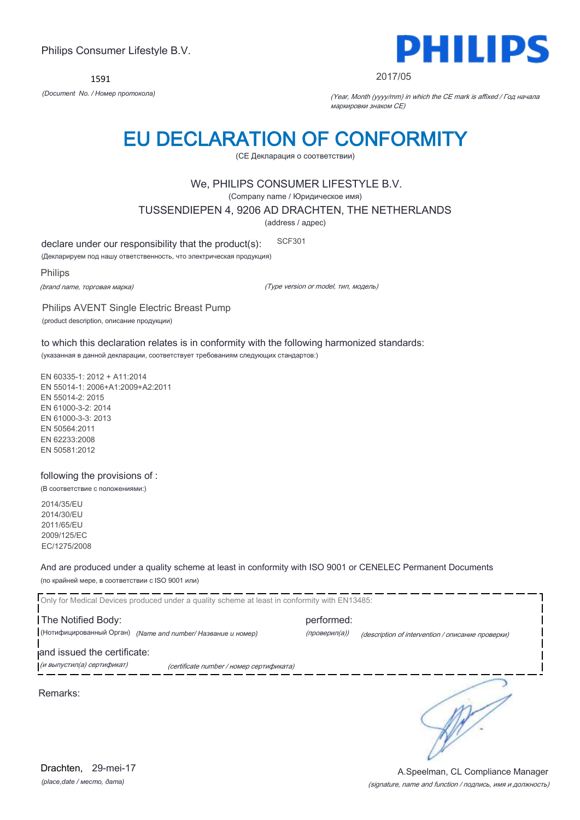1591



#### 2017/05

*(Document No. / Номер протокола)* (Year, Month (yyyy/mm) in which the CE mark is affixed / Год начала маркировки знаком CE)

# EU DECLARATION OF CONFORMITY

(CE Декларация о соответствии)

### We, PHILIPS CONSUMER LIFESTYLE B.V.

(Company name / Юридическое имя)

TUSSENDIEPEN 4, 9206 AD DRACHTEN, THE NETHERLANDS

(address / адрес)

declare under our responsibility that the product(s): SCF301

(Декларируем под нашу ответственность, что электрическая продукция)

Philips

(brand name, торговая марка)

(Type version or model, тип, модель)

Philips AVENT Single Electric Breast Pump (product description, описание продукции)

to which this declaration relates is in conformity with the following harmonized standards: (указанная в данной декларации, соответствует требованиям следующих стандартов:)

EN 60335-1: 2012 + A11:2014 EN 55014-1: 2006+A1:2009+A2:2011 EN 55014-2: 2015 EN 61000-3-2: 2014 EN 61000-3-3: 2013 EN 50564:2011 EN 62233:2008 EN 50581:2012

#### following the provisions of :

(В соответствие с положениями:)

2014/35/EU 2014/30/EU 2011/65/EU 2009/125/EC EC/1275/2008

And are produced under a quality scheme at least in conformity with ISO 9001 or CENELEC Permanent Documents (по крайней мере, в соответствии с ISO 9001 или)

Only for Medical Devices produced under a quality scheme at least in conformity with EN13485: The Notified Body: example and the performed: (Нотифицированный Орган) *(Name and number/ Название и номер)* (проверил(а)) (description of intervention / описание проверки) and issued the certificate: **.**<br>При выпустил(а) сертификат) при сеrtificate number / номер сертификата) ∍ Remarks: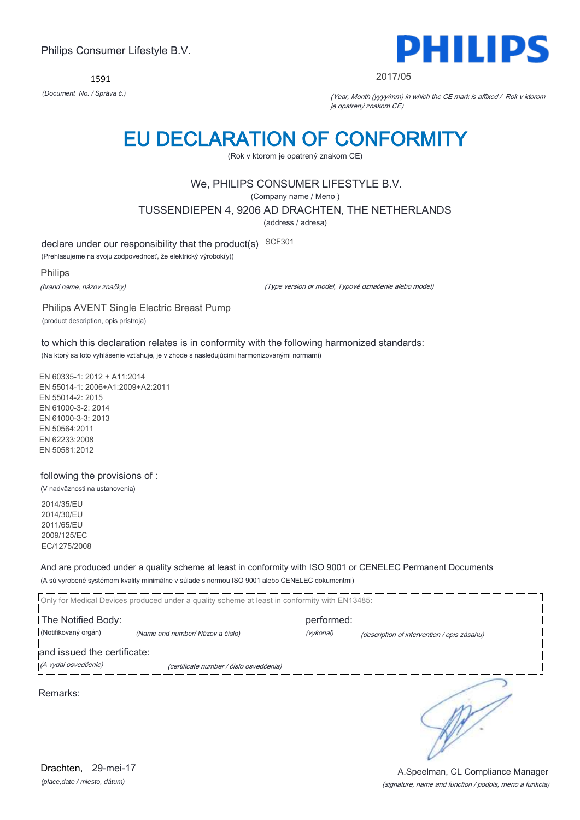1591



#### 2017/05

*(Document No. / Správa č.)* (Year, Month (yyyy/mm) in which the CE mark is affixed / Rok v ktorom je opatrený znakom CE)

# EU DECLARATION OF CONFORMITY

(Rok v ktorom je opatrený znakom CE)

# We, PHILIPS CONSUMER LIFESTYLE B.V.

(Company name / Meno )

TUSSENDIEPEN 4, 9206 AD DRACHTEN, THE NETHERLANDS

(address / adresa)

declare under our responsibility that the product(s) SCF301

(Prehlasujeme na svoju zodpovednosť, že elektrický výrobok(y))

Philips

(brand name, názov značky)

(Type version or model, Typové označenie alebo model)

Philips AVENT Single Electric Breast Pump (product description, opis prístroja)

to which this declaration relates is in conformity with the following harmonized standards: (Na ktorý sa toto vyhlásenie vzťahuje, je v zhode s nasledujúcimi harmonizovanými normami)

EN 60335-1: 2012 + A11:2014 EN 55014-1: 2006+A1:2009+A2:2011 EN 55014-2: 2015 EN 61000-3-2: 2014 EN 61000-3-3: 2013 EN 50564:2011 EN 62233:2008 EN 50581:2012

### following the provisions of :

(V nadväznosti na ustanovenia) 2014/35/EU

2014/30/EU 2011/65/EU 2009/125/EC EC/1275/2008

And are produced under a quality scheme at least in conformity with ISO 9001 or CENELEC Permanent Documents (A sú vyrobené systémom kvality minimálne v súlade s normou ISO 9001 alebo CENELEC dokumentmi)

| Only for Medical Devices produced under a quality scheme at least in conformity with EN13485: |                                         |            |                                             |  |
|-----------------------------------------------------------------------------------------------|-----------------------------------------|------------|---------------------------------------------|--|
| The Notified Body:                                                                            |                                         | performed: |                                             |  |
| (Notifikovaný orgán)                                                                          | (Name and number/ Názov a číslo)        | (vykonal)  | (description of intervention / opis zásahu) |  |
| and issued the certificate:                                                                   |                                         |            |                                             |  |
| (A vydal osvedčenie)                                                                          | (certificate number / číslo osvedčenia) |            |                                             |  |
| Remarks:                                                                                      |                                         |            |                                             |  |

*(place,date / miesto, dátum)* Drachten, 29-mei-17

#### (signature, name and function / podpis, meno a funkcia) A.Speelman, CL Compliance Manager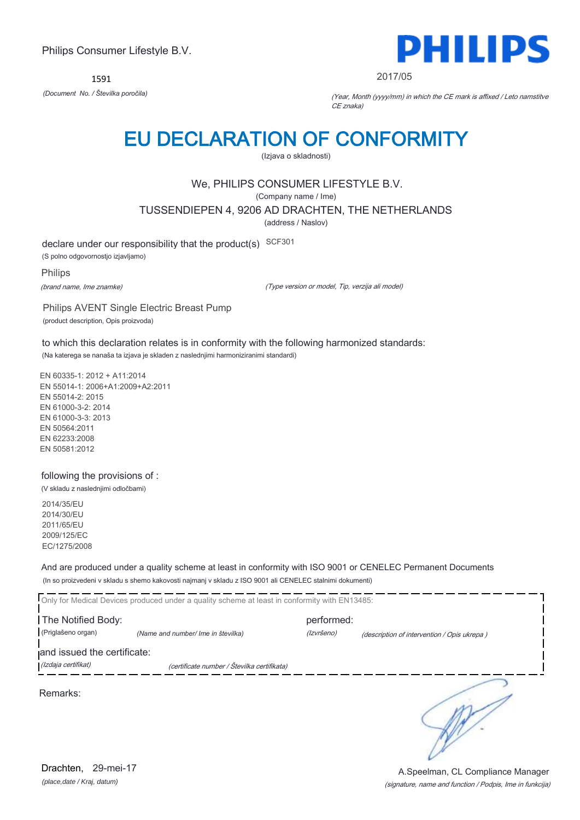1591



2017/05

*(Document No. / Številka poročila)* (Year, Month (yyyy/mm) in which the CE mark is affixed / Leto namstitve CE znaka)

# EU DECLARATION OF CONFORMITY

(Izjava o skladnosti)

# We, PHILIPS CONSUMER LIFESTYLE B.V.

(Company name / Ime)

TUSSENDIEPEN 4, 9206 AD DRACHTEN, THE NETHERLANDS

(address / Naslov)

declare under our responsibility that the product(s) SCF301

(S polno odgovornostjo izjavljamo)

Philips

(brand name, Ime znamke)

(Type version or model, Tip, verzija ali model)

Philips AVENT Single Electric Breast Pump (product description, Opis proizvoda)

to which this declaration relates is in conformity with the following harmonized standards: (Na katerega se nanaša ta izjava je skladen z naslednjimi harmoniziranimi standardi)

EN 60335-1: 2012 + A11:2014 EN 55014-1: 2006+A1:2009+A2:2011 EN 55014-2: 2015 EN 61000-3-2: 2014 EN 61000-3-3: 2013 EN 50564:2011 EN 62233:2008 EN 50581:2012

following the provisions of :

(V skladu z naslednjimi odločbami)

2014/35/EU 2014/30/EU 2011/65/EU 2009/125/EC EC/1275/2008

And are produced under a quality scheme at least in conformity with ISO 9001 or CENELEC Permanent Documents (In so proizvedeni v skladu s shemo kakovosti najmanj v skladu z ISO 9001 ali CENELEC stalnimi dokumenti)

|                             | Only for Medical Devices produced under a quality scheme at least in conformity with EN13485: |            |                                             |  |
|-----------------------------|-----------------------------------------------------------------------------------------------|------------|---------------------------------------------|--|
| The Notified Body:          |                                                                                               | performed: |                                             |  |
| (Priglašeno organ)          | (Name and number/ Ime in številka)                                                            | (Izvršeno) | (description of intervention / Opis ukrepa) |  |
| and issued the certificate: |                                                                                               |            |                                             |  |
| (Izdaja certifikat)         | (certificate number / Številka certifikata)                                                   |            |                                             |  |
|                             |                                                                                               |            |                                             |  |

Remarks:

R.

*(place,date / Kraj, datum)* Drachten, 29-mei-17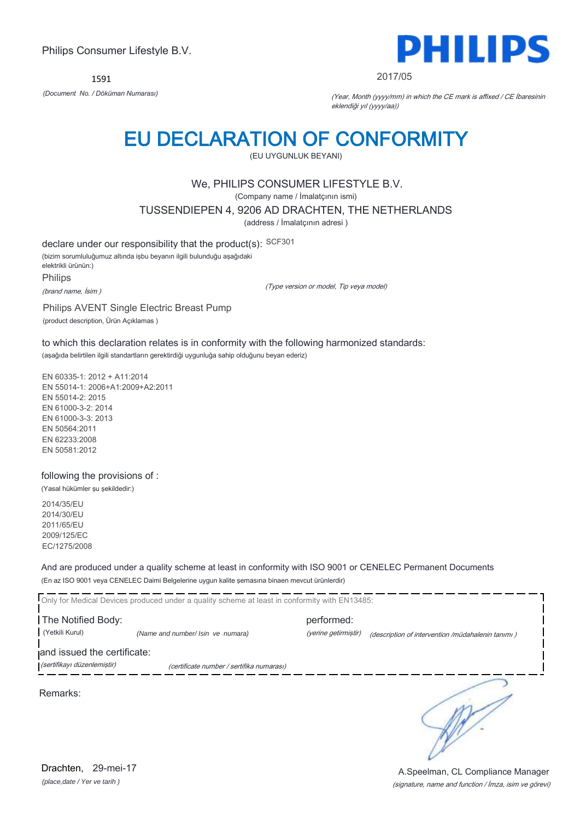1591



#### 2017/05

*(Document No. / Döküman Numarası)* (Year, Month (yyyy/mm) in which the CE mark is affixed / CE İbaresinin eklendiği yıl (yyyy/aa))

# EU DECLARATION OF CONFORMITY

(EU UYGUNLUK BEYANI)

### We, PHILIPS CONSUMER LIFESTYLE B.V.

(Company name / İmalatçının ismi)

TUSSENDIEPEN 4, 9206 AD DRACHTEN, THE NETHERLANDS

(address / İmalatçının adresi )

declare under our responsibility that the product(s): SCF301

(bizim sorumluluğumuz altında işbu beyanın ilgili bulunduğu aşağıdaki elektrikli ürünün:)

Philips

(brand name, İsim )

(Type version or model, Tip veya model)

Philips AVENT Single Electric Breast Pump

(product description, Ürün Açıklamas )

to which this declaration relates is in conformity with the following harmonized standards: (aşağıda belirtilen ilgili standartların gerektirdiği uygunluğa sahip olduğunu beyan ederiz)

EN 60335-1: 2012 + A11:2014 EN 55014-1: 2006+A1:2009+A2:2011 EN 55014-2: 2015 EN 61000-3-2: 2014 EN 61000-3-3: 2013 EN 50564:2011 EN 62233:2008 EN 50581:2012

### following the provisions of :

(Yasal hükümler şu şekildedir:)

2014/35/EU 2014/30/EU 2011/65/EU 2009/125/EC EC/1275/2008

And are produced under a quality scheme at least in conformity with ISO 9001 or CENELEC Permanent Documents (En az ISO 9001 veya CENELEC Daimi Belgelerine uygun kalite şemasına binaen mevcut ürünlerdir)

Only for Medical Devices produced under a quality scheme at least in conformity with EN13485: The Notified Body: performed: (Yetkili Kurul) *(Name and number/ Isin ve numara)* (yerine getirmiştir) (description of intervention /müdahalenin tanımı ) and issued the certificate:

(sertifikayı düzenlemiştir) (certificate number / sertifika numarası)

Remarks:

*(place,date / Yer ve tarih )* Drachten, 29-mei-17

(signature, name and function / İmza, isim ve görevi) A.Speelman, CL Compliance Manager

∋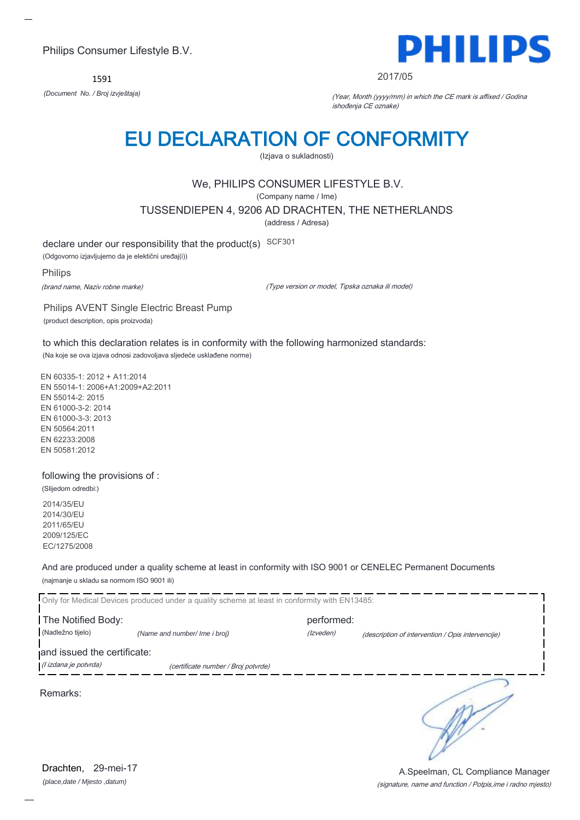1591



#### 2017/05

*(Document No. / Broj izvještaja)* (Year, Month (yyyy/mm) in which the CE mark is affixed / Godina ishođenja CE oznake)

# EU DECLARATION OF CONFORMITY

(Izjava o sukladnosti)

# We, PHILIPS CONSUMER LIFESTYLE B.V.

(Company name / Ime)

TUSSENDIEPEN 4, 9206 AD DRACHTEN, THE NETHERLANDS

(address / Adresa)

declare under our responsibility that the product(s) SCF301

(Odgovorno izjavljujemo da je elektični uređaj(i))

Philips

(brand name, Naziv robne marke)

(Type version or model, Tipska oznaka ili model)

Philips AVENT Single Electric Breast Pump (product description, opis proizvoda)

to which this declaration relates is in conformity with the following harmonized standards: (Na koje se ova izjava odnosi zadovoljava sljedeće usklađene norme)

EN 60335-1: 2012 + A11:2014 EN 55014-1: 2006+A1:2009+A2:2011 EN 55014-2: 2015 EN 61000-3-2: 2014 EN 61000-3-3: 2013 EN 50564:2011 EN 62233:2008 EN 50581:2012

#### following the provisions of :

(Slijedom odredbi:) 2014/35/EU 2014/30/EU 2011/65/EU 2009/125/EC

EC/1275/2008

And are produced under a quality scheme at least in conformity with ISO 9001 or CENELEC Permanent Documents (najmanje u skladu sa normom ISO 9001 ili)

|                             | Only for Medical Devices produced under a quality scheme at least in conformity with EN13485: |            |                                                   |
|-----------------------------|-----------------------------------------------------------------------------------------------|------------|---------------------------------------------------|
| The Notified Body:          |                                                                                               | performed: |                                                   |
| (Nadležno tijelo)           | (Name and number/ Ime i broj)                                                                 | (Izveden)  | (description of intervention / Opis intervencije) |
| and issued the certificate: |                                                                                               |            |                                                   |
| (l izdana je potvrda)       | (certificate number / Broj potvrde)                                                           |            |                                                   |
| Remarks:                    |                                                                                               |            |                                                   |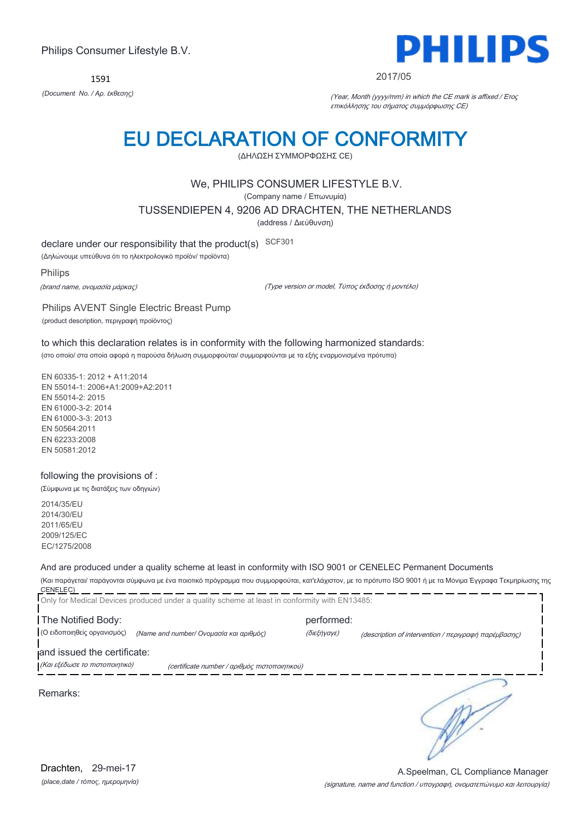1591



#### 2017/05

*(Document No. / Αρ. έκθεσης)* (Year, Month (yyyy/mm) in which the CE mark is affixed / Έτος επικόλλησης του σήματος συμμόρφωσης CE)

# EU DECLARATION OF CONFORMITY

(ΔΗΛΩΣΗ ΣΥΜΜΟΡΦΩΣΗΣ CE)

### We, PHILIPS CONSUMER LIFESTYLE B.V.

(Company name / Επωνυμία)

TUSSENDIEPEN 4, 9206 AD DRACHTEN, THE NETHERLANDS

(address / Διεύθυνση)

declare under our responsibility that the product(s) SCF301

(Δηλώνουμε υπεύθυνα ότι το ηλεκτρολογικό προϊόν/ προϊόντα)

Philips

(brand name, ονομασία μάρκας)

(Type version or model, Τύπος έκδοσης ή μοντέλο)

Philips AVENT Single Electric Breast Pump (product description, περιγραφή προϊόντος)

to which this declaration relates is in conformity with the following harmonized standards: (στο οποίο/ στα οποία αφορά η παρούσα δήλωση συμμορφούται/ συμμορφούνται με τα εξής εναρμονισμένα πρότυπα)

EN 60335-1: 2012 + A11:2014 EN 55014-1: 2006+A1:2009+A2:2011 EN 55014-2: 2015 EN 61000-3-2: 2014 EN 61000-3-3: 2013 EN 50564:2011 EN 62233:2008 EN 50581:2012

#### following the provisions of :

(Σύμφωνα με τις διατάξεις των οδηγιών)

2014/35/EU 2014/30/EU 2011/65/EU 2009/125/EC EC/1275/2008

#### And are produced under a quality scheme at least in conformity with ISO 9001 or CENELEC Permanent Documents

(Και παράγεται/ παράγονται σύμφωνα με ένα ποιοτικό πρόγραμμα που συμμορφούται, κατ'ελάχιστον, με το πρότυπο ISO 9001 ή με τα Μόνιμα Έγγραφα Τεκμηρίωσης της CENELEC)

|                                | Only for Medical Devices produced under a quality scheme at least in conformity with EN13485: |             |                                                      |
|--------------------------------|-----------------------------------------------------------------------------------------------|-------------|------------------------------------------------------|
| The Notified Body:             |                                                                                               | performed:  |                                                      |
| (Ο ειδοποιηθείς οργανισμός)    | (Name and number/ Ονομασία και αριθμός)                                                       | (διεξήγαγε) | (description of intervention / περιγραφή παρέμβασης) |
| and issued the certificate:    |                                                                                               |             |                                                      |
| (Και εξέδωσε το πιστοποιητικό) | (certificate number / αριθμός πιστοποιητικού)                                                 |             |                                                      |
| Remarks:                       |                                                                                               |             |                                                      |

*(place,date / τόπος, ημερομηνία)* Drachten, 29-mei-17

(signature, name and function / υπογραφή, ονοματεπώνυμο και λειτουργία) A.Speelman, CL Compliance Manager